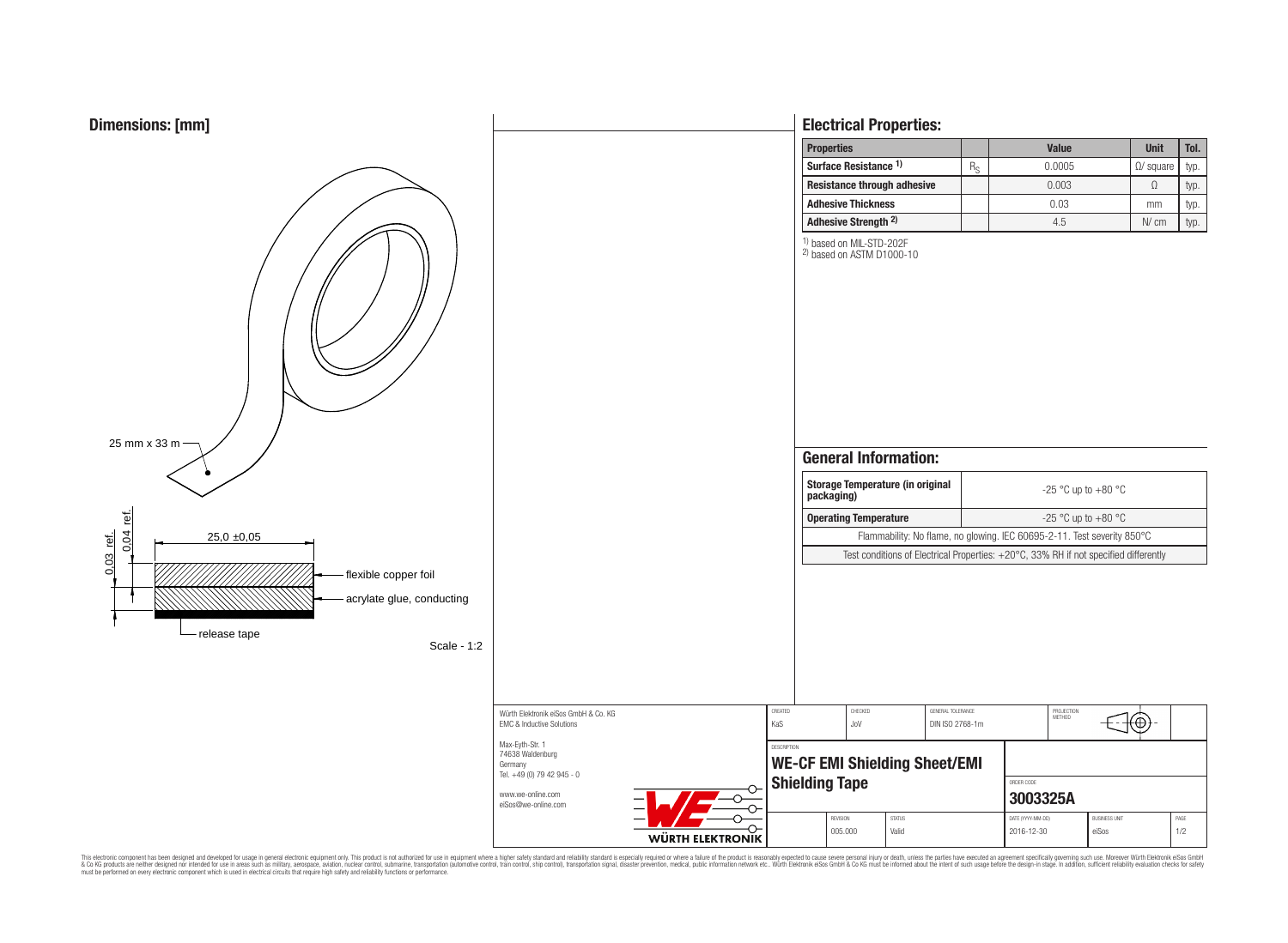



# **Electrical Properties:**

| <b>Properties</b>                |             | <b>Value</b> | <b>Unit</b>       | Tol. |
|----------------------------------|-------------|--------------|-------------------|------|
| Surface Resistance <sup>1)</sup> | $R_{\rm e}$ | 0.0005       | $\Omega$ / square | typ. |
| Resistance through adhesive      |             | 0.003        |                   | typ. |
| <b>Adhesive Thickness</b>        |             | 0.03         | mm                | typ. |
| Adhesive Strength <sup>2)</sup>  |             | 4.5          | N/cm              | typ. |

Flammability: No flame, no glowing. IEC 60695-2-11. Test severity 850°C

PROJECTION<br>METHOD

⊕

**3003325A**

REVISION | STATUS | PAGE (YYYY-MM-DD) | BUSINESS UNIT | PAGE 005.000 | Valid | 2016-12-30 | eiSos | 1/2

 $\frac{1}{2}$  based on MIL-STD-202F

2) based on ASTM D1000-10

This electronic component has been designed and developed for usage in general electronic equipment only. This product is not authorized for subserved requipment where a higher safely standard including only ended in produ

∼

 $\Omega$ 

**WÜRTH ELEKTRONIK** 

www.we-online.com eiSos@we-online.com